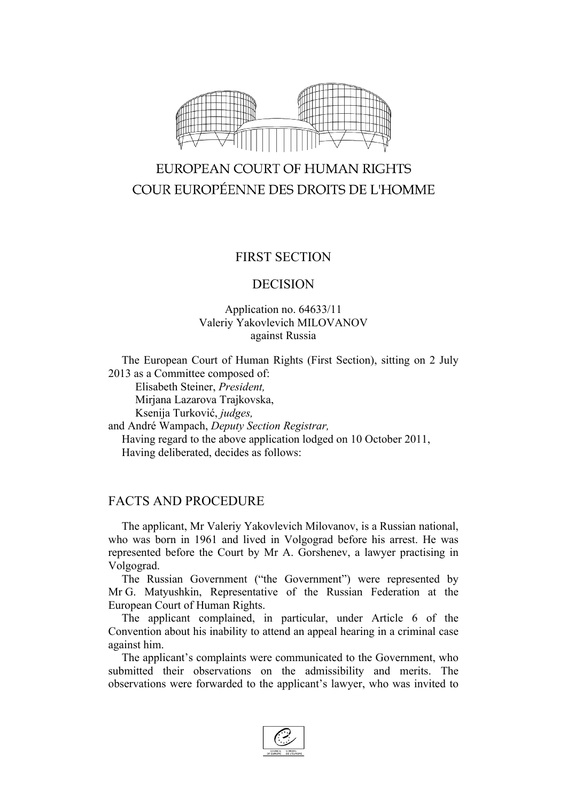

# EUROPEAN COURT OF HUMAN RIGHTS COUR EUROPÉENNE DES DROITS DE L'HOMME

### FIRST SECTION

#### DECISION

#### Application no. 64633/11 Valeriy Yakovlevich MILOVANOV against Russia

The European Court of Human Rights (First Section), sitting on 2 July 2013 as a Committee composed of:

Elisabeth Steiner, *President,*

Mirjana Lazarova Trajkovska,

Ksenija Turković, *judges,*

and André Wampach, *Deputy Section Registrar,* Having regard to the above application lodged on 10 October 2011, Having deliberated, decides as follows:

## FACTS AND PROCEDURE

The applicant, Mr Valeriy Yakovlevich Milovanov, is a Russian national, who was born in 1961 and lived in Volgograd before his arrest. He was represented before the Court by Mr A. Gorshenev, a lawyer practising in Volgograd.

The Russian Government ("the Government") were represented by Mr G. Matyushkin, Representative of the Russian Federation at the European Court of Human Rights.

The applicant complained, in particular, under Article 6 of the Convention about his inability to attend an appeal hearing in a criminal case against him.

The applicant's complaints were communicated to the Government, who submitted their observations on the admissibility and merits. The observations were forwarded to the applicant's lawyer, who was invited to